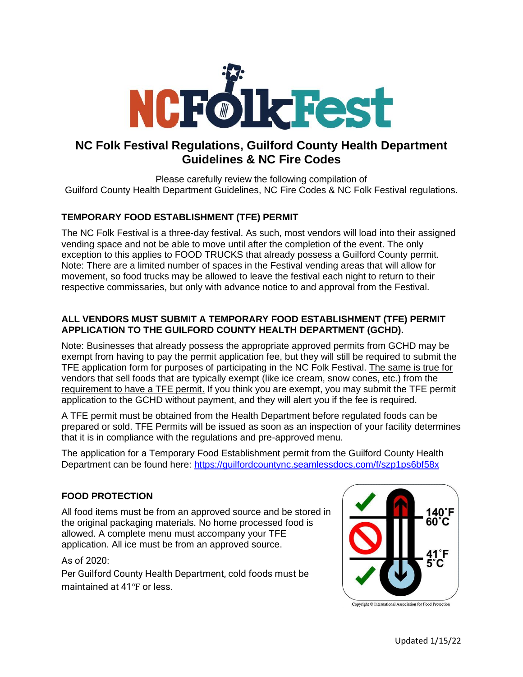

# **NC Folk Festival Regulations, Guilford County Health Department Guidelines & NC Fire Codes**

Please carefully review the following compilation of Guilford County Health Department Guidelines, NC Fire Codes & NC Folk Festival regulations.

# **TEMPORARY FOOD ESTABLISHMENT (TFE) PERMIT**

The NC Folk Festival is a three-day festival. As such, most vendors will load into their assigned vending space and not be able to move until after the completion of the event. The only exception to this applies to FOOD TRUCKS that already possess a Guilford County permit. Note: There are a limited number of spaces in the Festival vending areas that will allow for movement, so food trucks may be allowed to leave the festival each night to return to their respective commissaries, but only with advance notice to and approval from the Festival.

### **ALL VENDORS MUST SUBMIT A TEMPORARY FOOD ESTABLISHMENT (TFE) PERMIT APPLICATION TO THE GUILFORD COUNTY HEALTH DEPARTMENT (GCHD).**

Note: Businesses that already possess the appropriate approved permits from GCHD may be exempt from having to pay the permit application fee, but they will still be required to submit the TFE application form for purposes of participating in the NC Folk Festival. The same is true for vendors that sell foods that are typically exempt (like ice cream, snow cones, etc.) from the requirement to have a TFE permit. If you think you are exempt, you may submit the TFE permit application to the GCHD without payment, and they will alert you if the fee is required.

A TFE permit must be obtained from the Health Department before regulated foods can be prepared or sold. TFE Permits will be issued as soon as an inspection of your facility determines that it is in compliance with the regulations and pre-approved menu.

The application for a Temporary Food Establishment permit from the Guilford County Health Department can be found here: <https://guilfordcountync.seamlessdocs.com/f/szp1ps6bf58x>

# **FOOD PROTECTION**

All food items must be from an approved source and be stored in the original packaging materials. No home processed food is allowed. A complete menu must accompany your TFE application. All ice must be from an approved source.

### As of 2020:

Per Guilford County Health Department, cold foods must be maintained at 41°F or less.



Copyright © International Association for Food Protection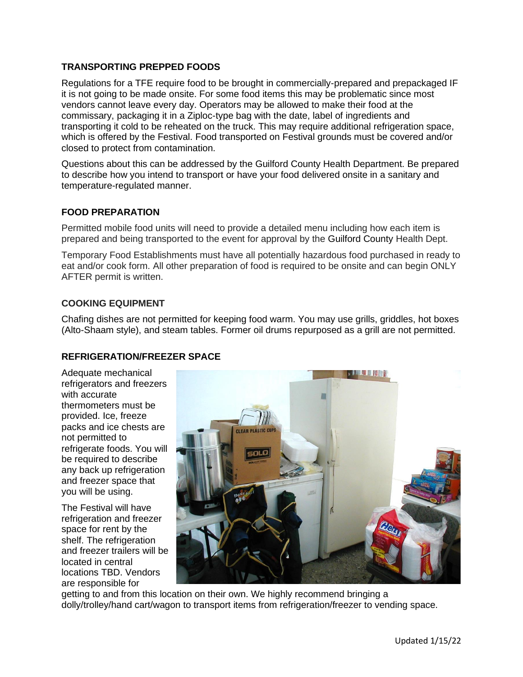### **TRANSPORTING PREPPED FOODS**

Regulations for a TFE require food to be brought in commercially-prepared and prepackaged IF it is not going to be made onsite. For some food items this may be problematic since most vendors cannot leave every day. Operators may be allowed to make their food at the commissary, packaging it in a Ziploc-type bag with the date, label of ingredients and transporting it cold to be reheated on the truck. This may require additional refrigeration space, which is offered by the Festival. Food transported on Festival grounds must be covered and/or closed to protect from contamination.

Questions about this can be addressed by the Guilford County Health Department. Be prepared to describe how you intend to transport or have your food delivered onsite in a sanitary and temperature-regulated manner.

### **FOOD PREPARATION**

Permitted mobile food units will need to provide a detailed menu including how each item is prepared and being transported to the event for approval by the Guilford County Health Dept.

Temporary Food Establishments must have all potentially hazardous food purchased in ready to eat and/or cook form. All other preparation of food is required to be onsite and can begin ONLY AFTER permit is written.

#### **COOKING EQUIPMENT**

Chafing dishes are not permitted for keeping food warm. You may use grills, griddles, hot boxes (Alto-Shaam style), and steam tables. Former oil drums repurposed as a grill are not permitted.

### **REFRIGERATION/FREEZER SPACE**

Adequate mechanical refrigerators and freezers with accurate thermometers must be provided. Ice, freeze packs and ice chests are not permitted to refrigerate foods. You will be required to describe any back up refrigeration and freezer space that you will be using.

The Festival will have refrigeration and freezer space for rent by the shelf. The refrigeration and freezer trailers will be located in central locations TBD. Vendors are responsible for



getting to and from this location on their own. We highly recommend bringing a dolly/trolley/hand cart/wagon to transport items from refrigeration/freezer to vending space.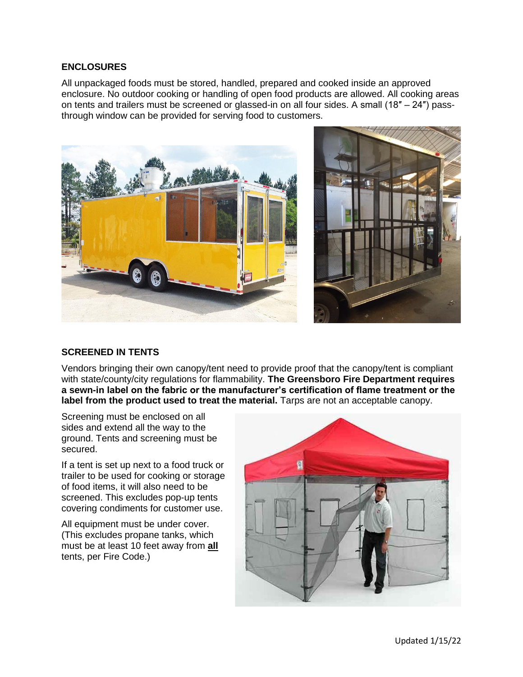#### **ENCLOSURES**

All unpackaged foods must be stored, handled, prepared and cooked inside an approved enclosure. No outdoor cooking or handling of open food products are allowed. All cooking areas on tents and trailers must be screened or glassed-in on all four sides. A small (18″ – 24″) passthrough window can be provided for serving food to customers.



# **SCREENED IN TENTS**

Vendors bringing their own canopy/tent need to provide proof that the canopy/tent is compliant with state/county/city regulations for flammability. **The Greensboro Fire Department requires a sewn-in label on the fabric or the manufacturer's certification of flame treatment or the label from the product used to treat the material.** Tarps are not an acceptable canopy.

Screening must be enclosed on all sides and extend all the way to the ground. Tents and screening must be secured.

If a tent is set up next to a food truck or trailer to be used for cooking or storage of food items, it will also need to be screened. This excludes pop-up tents covering condiments for customer use.

All equipment must be under cover. (This excludes propane tanks, which must be at least 10 feet away from **all** tents, per Fire Code.)

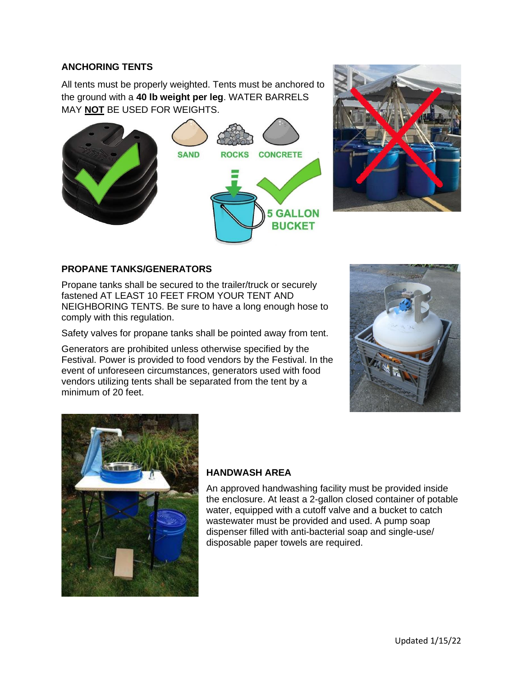### **ANCHORING TENTS**

All tents must be properly weighted. Tents must be anchored to the ground with a **40 lb weight per leg**. WATER BARRELS MAY **NOT** BE USED FOR WEIGHTS.





### **PROPANE TANKS/GENERATORS**

Propane tanks shall be secured to the trailer/truck or securely fastened AT LEAST 10 FEET FROM YOUR TENT AND NEIGHBORING TENTS. Be sure to have a long enough hose to comply with this regulation.

Safety valves for propane tanks shall be pointed away from tent.

Generators are prohibited unless otherwise specified by the Festival. Power is provided to food vendors by the Festival. In the event of unforeseen circumstances, generators used with food vendors utilizing tents shall be separated from the tent by a minimum of 20 feet.





### **HANDWASH AREA**

An approved handwashing facility must be provided inside the enclosure. At least a 2-gallon closed container of potable water, equipped with a cutoff valve and a bucket to catch wastewater must be provided and used. A pump soap dispenser filled with anti-bacterial soap and single-use/ disposable paper towels are required.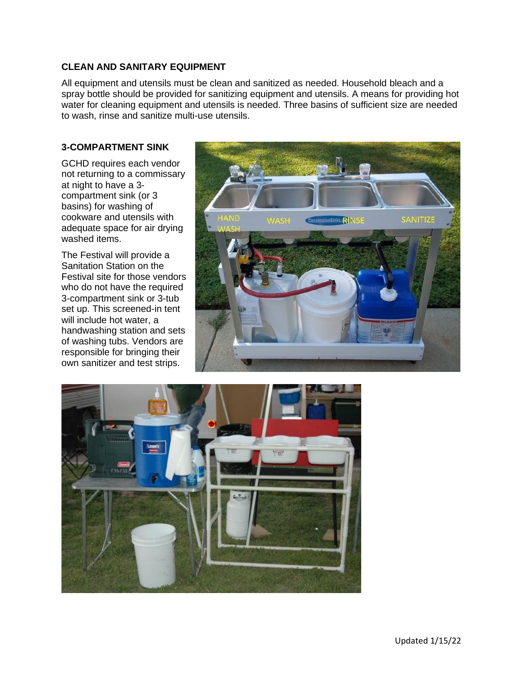### **CLEAN AND SANITARY EQUIPMENT**

All equipment and utensils must be clean and sanitized as needed. Household bleach and a spray bottle should be provided for sanitizing equipment and utensils. A means for providing hot water for cleaning equipment and utensils is needed. Three basins of sufficient size are needed to wash, rinse and sanitize multi-use utensils.

### **3-COMPARTMENT SINK**

GCHD requires each vendor not returning to a commissary at night to have a 3 compartment sink (or 3 basins) for washing of cookware and utensils with adequate space for air drying washed items.

The Festival will provide a Sanitation Station on the Festival site for those vendors who do not have the required 3-compartment sink or 3-tub set up. This screened-in tent will include hot water, a handwashing station and sets of washing tubs. Vendors are responsible for bringing their own sanitizer and test strips.



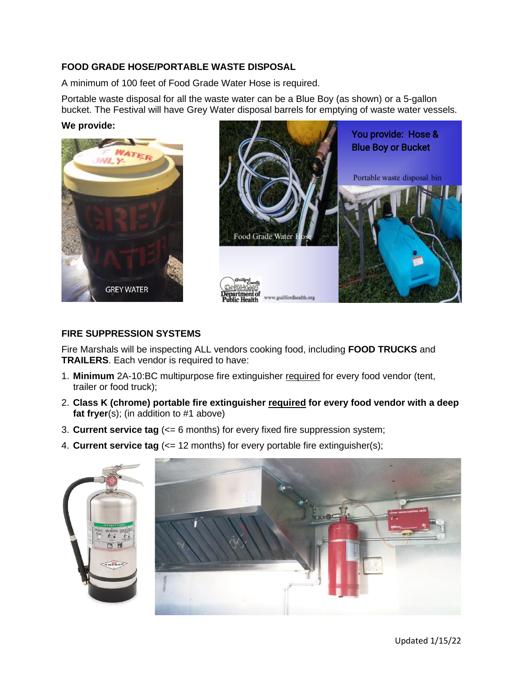### **FOOD GRADE HOSE/PORTABLE WASTE DISPOSAL**

A minimum of 100 feet of Food Grade Water Hose is required.

Portable waste disposal for all the waste water can be a Blue Boy (as shown) or a 5-gallon bucket. The Festival will have Grey Water disposal barrels for emptying of waste water vessels.

#### **We provide:**





### **FIRE SUPPRESSION SYSTEMS**

Fire Marshals will be inspecting ALL vendors cooking food, including **FOOD TRUCKS** and **TRAILERS**. Each vendor is required to have:

- 1. **Minimum** 2A-10:BC multipurpose fire extinguisher required for every food vendor (tent, trailer or food truck);
- 2. **Class K (chrome) portable fire extinguisher required for every food vendor with a deep fat fryer**(s); (in addition to #1 above)
- 3. **Current service tag** (<= 6 months) for every fixed fire suppression system;
- 4. **Current service tag** (<= 12 months) for every portable fire extinguisher(s);